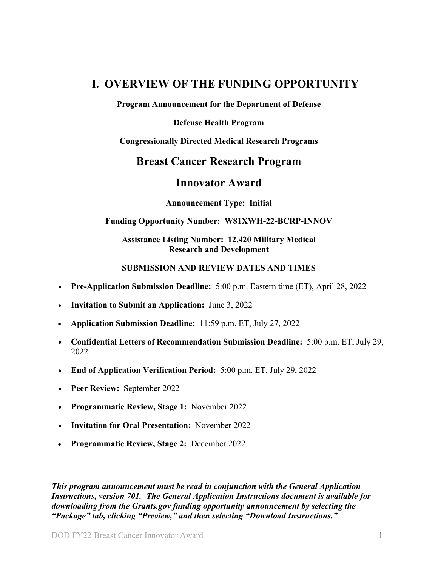# <span id="page-0-0"></span>**I. OVERVIEW OF THE FUNDING OPPORTUNITY**

**Program Announcement for the Department of Defense**

#### **Defense Health Program**

**Congressionally Directed Medical Research Programs**

## **Breast Cancer Research Program**

## **Innovator Award**

**Announcement Type: Initial**

#### **Funding Opportunity Number: W81XWH-22-BCRP-INNOV**

#### **Assistance Listing Number: 12.420 Military Medical Research and Development**

#### **SUBMISSION AND REVIEW DATES AND TIMES**

- <span id="page-0-1"></span>• **Pre-Application Submission Deadline:** 5:00 p.m. Eastern time (ET), April 28, 2022
- **Invitation to Submit an Application:** June 3, 2022
- **Application Submission Deadline:** 11:59 p.m. ET, July 27, 2022
- **Confidential Letters of Recommendation Submission Deadline:** 5:00 p.m. ET, July 29, 2022
- **End of Application Verification Period:** 5:00 p.m. ET, July 29, 2022
- **Peer Review:** September 2022
- **Programmatic Review, Stage 1:** November 2022
- **Invitation for Oral Presentation:** November 2022
- **Programmatic Review, Stage 2:** December 2022

*This program announcement must be read in conjunction with the General Application Instructions, version 701.**The General Application Instructions document is available for downloading from the Grants.gov funding opportunity announcement by selecting the "Package" tab, clicking "Preview," and then selecting "Download Instructions."*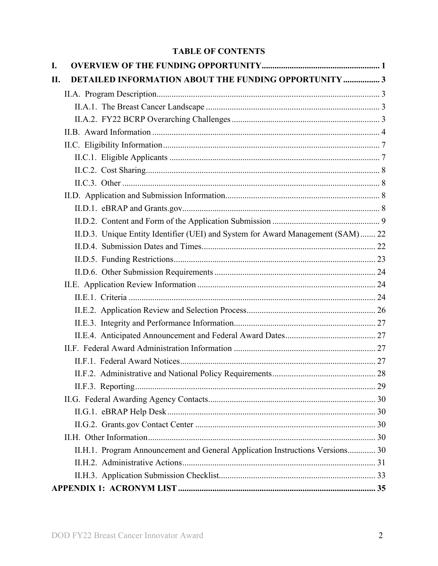## **TABLE OF CONTENTS**

| I.  |                                                                                  |  |
|-----|----------------------------------------------------------------------------------|--|
| II. | DETAILED INFORMATION ABOUT THE FUNDING OPPORTUNITY  3                            |  |
|     |                                                                                  |  |
|     |                                                                                  |  |
|     |                                                                                  |  |
|     |                                                                                  |  |
|     |                                                                                  |  |
|     |                                                                                  |  |
|     |                                                                                  |  |
|     |                                                                                  |  |
|     |                                                                                  |  |
|     |                                                                                  |  |
|     |                                                                                  |  |
|     | II.D.3. Unique Entity Identifier (UEI) and System for Award Management (SAM)  22 |  |
|     |                                                                                  |  |
|     |                                                                                  |  |
|     |                                                                                  |  |
|     |                                                                                  |  |
|     |                                                                                  |  |
|     |                                                                                  |  |
|     |                                                                                  |  |
|     |                                                                                  |  |
|     |                                                                                  |  |
|     |                                                                                  |  |
|     |                                                                                  |  |
|     |                                                                                  |  |
|     |                                                                                  |  |
|     |                                                                                  |  |
|     |                                                                                  |  |
|     |                                                                                  |  |
|     | II.H.1. Program Announcement and General Application Instructions Versions 30    |  |
|     |                                                                                  |  |
|     |                                                                                  |  |
|     |                                                                                  |  |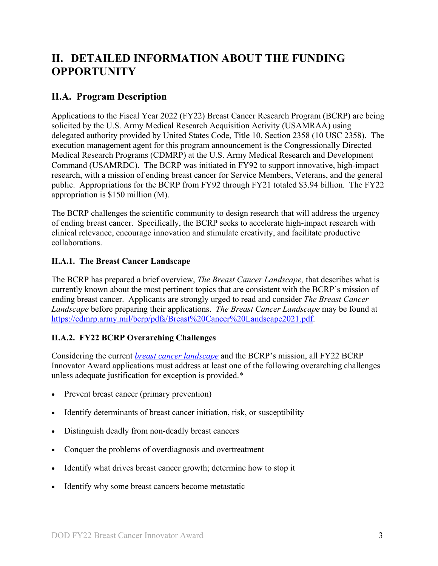# <span id="page-2-0"></span>**II. DETAILED INFORMATION ABOUT THE FUNDING OPPORTUNITY**

## <span id="page-2-1"></span>**II.A. Program Description**

Applications to the Fiscal Year 2022 (FY22) Breast Cancer Research Program (BCRP) are being solicited by the U.S. Army Medical Research Acquisition Activity (USAMRAA) using delegated authority provided by United States Code, Title 10, Section 2358 (10 USC 2358). The execution management agent for this program announcement is the Congressionally Directed Medical Research Programs (CDMRP) at the U.S. Army Medical Research and Development Command (USAMRDC). The BCRP was initiated in FY92 to support innovative, high-impact research, with a mission of ending breast cancer for Service Members, Veterans, and the general public. Appropriations for the BCRP from FY92 through FY21 totaled \$3.94 billion. The FY22 appropriation is \$150 million (M).

The BCRP challenges the scientific community to design research that will address the urgency of ending breast cancer. Specifically, the BCRP seeks to accelerate high-impact research with clinical relevance, encourage innovation and stimulate creativity, and facilitate productive collaborations.

## <span id="page-2-2"></span>**II.A.1. The Breast Cancer Landscape**

The BCRP has prepared a brief overview, *The Breast Cancer Landscape,* that describes what is currently known about the most pertinent topics that are consistent with the BCRP's mission of ending breast cancer. Applicants are strongly urged to read and consider *The Breast Cancer Landscape* before preparing their applications. *The Breast Cancer Landscape* may be found at [https://cdmrp.army.mil/bcrp/pdfs/Breast%20Cancer%20Landscape2021.pdf.](https://cdmrp.army.mil/bcrp/pdfs/Breast%20Cancer%20Landscape2021.pdf)

## <span id="page-2-3"></span>**II.A.2. FY22 BCRP Overarching Challenges**

Considering the current *[breast cancer landscape](https://cdmrp.army.mil/bcrp/pdfs/Breast%20Cancer%20Landscape2021.pdf)* and the BCRP's mission, all FY22 BCRP Innovator Award applications must address at least one of the following overarching challenges unless adequate justification for exception is provided.\*

- Prevent breast cancer (primary prevention)
- Identify determinants of breast cancer initiation, risk, or susceptibility
- Distinguish deadly from non-deadly breast cancers
- Conquer the problems of overdiagnosis and overtreatment
- Identify what drives breast cancer growth; determine how to stop it
- Identify why some breast cancers become metastatic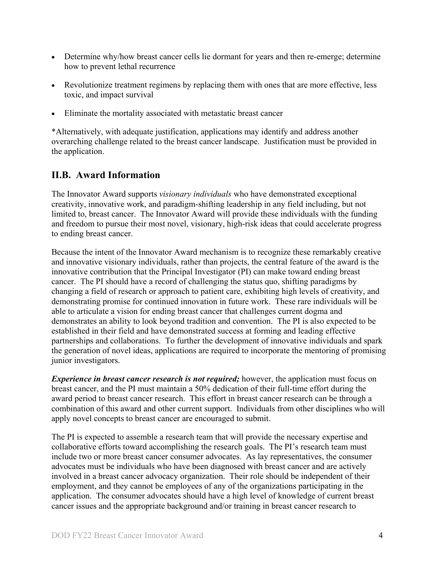- Determine why/how breast cancer cells lie dormant for years and then re-emerge; determine how to prevent lethal recurrence
- Revolutionize treatment regimens by replacing them with ones that are more effective, less toxic, and impact survival
- Eliminate the mortality associated with metastatic breast cancer

\*Alternatively, with adequate justification, applications may identify and address another overarching challenge related to the breast cancer landscape. Justification must be provided in the application.

## <span id="page-3-0"></span>**II.B. Award Information**

The Innovator Award supports *visionary individuals* who have demonstrated exceptional creativity, innovative work, and paradigm-shifting leadership in any field including, but not limited to, breast cancer. The Innovator Award will provide these individuals with the funding and freedom to pursue their most novel, visionary, high-risk ideas that could accelerate progress to ending breast cancer.

Because the intent of the Innovator Award mechanism is to recognize these remarkably creative and innovative visionary individuals, rather than projects, the central feature of the award is the innovative contribution that the Principal Investigator (PI) can make toward ending breast cancer. The PI should have a record of challenging the status quo, shifting paradigms by changing a field of research or approach to patient care, exhibiting high levels of creativity, and demonstrating promise for continued innovation in future work. These rare individuals will be able to articulate a vision for ending breast cancer that challenges current dogma and demonstrates an ability to look beyond tradition and convention. The PI is also expected to be established in their field and have demonstrated success at forming and leading effective partnerships and collaborations. To further the development of innovative individuals and spark the generation of novel ideas, applications are required to incorporate the mentoring of promising junior investigators.

*Experience in breast cancer research is not required;* however, the application must focus on breast cancer, and the PI must maintain a 50% dedication of their full-time effort during the award period to breast cancer research. This effort in breast cancer research can be through a combination of this award and other current support. Individuals from other disciplines who will apply novel concepts to breast cancer are encouraged to submit.

The PI is expected to assemble a research team that will provide the necessary expertise and collaborative efforts toward accomplishing the research goals. The PI's research team must include two or more breast cancer consumer advocates. As lay representatives, the consumer advocates must be individuals who have been diagnosed with breast cancer and are actively involved in a breast cancer advocacy organization. Their role should be independent of their employment, and they cannot be employees of any of the organizations participating in the application. The consumer advocates should have a high level of knowledge of current breast cancer issues and the appropriate background and/or training in breast cancer research to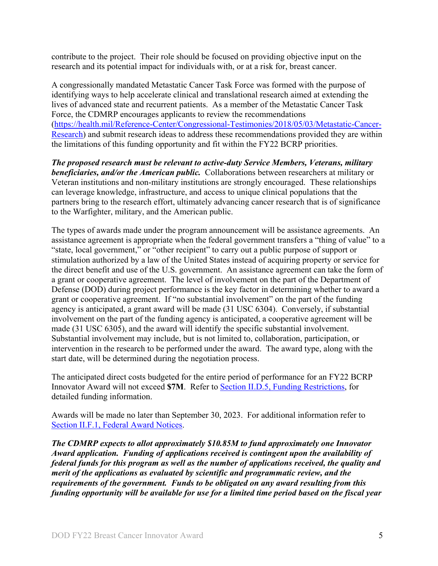contribute to the project. Their role should be focused on providing objective input on the research and its potential impact for individuals with, or at a risk for, breast cancer.

A congressionally mandated Metastatic Cancer Task Force was formed with the purpose of identifying ways to help accelerate clinical and translational research aimed at extending the lives of advanced state and recurrent patients. As a member of the Metastatic Cancer Task Force, the CDMRP encourages applicants to review the recommendations [\(https://health.mil/Reference-Center/Congressional-Testimonies/2018/05/03/Metastatic-Cancer-](https://www.health.mil/Reference-Center/Congressional-Testimonies?refVector=001000000000000&refSrc=130)[Research\)](https://www.health.mil/Reference-Center/Congressional-Testimonies?refVector=001000000000000&refSrc=130) and submit research ideas to address these recommendations provided they are within the limitations of this funding opportunity and fit within the FY22 BCRP priorities.

*The proposed research must be relevant to active-duty Service Members, Veterans, military beneficiaries, and/or the American public.* Collaborations between researchers at military or Veteran institutions and non-military institutions are strongly encouraged. These relationships can leverage knowledge, infrastructure, and access to unique clinical populations that the partners bring to the research effort, ultimately advancing cancer research that is of significance to the Warfighter, military, and the American public.

The types of awards made under the program announcement will be assistance agreements. An assistance agreement is appropriate when the federal government transfers a "thing of value" to a "state, local government," or "other recipient" to carry out a public purpose of support or stimulation authorized by a law of the United States instead of acquiring property or service for the direct benefit and use of the U.S. government. An assistance agreement can take the form of a grant or cooperative agreement. The level of involvement on the part of the Department of Defense (DOD) during project performance is the key factor in determining whether to award a grant or cooperative agreement. If "no substantial involvement" on the part of the funding agency is anticipated, a grant award will be made (31 USC 6304). Conversely, if substantial involvement on the part of the funding agency is anticipated, a cooperative agreement will be made (31 USC 6305), and the award will identify the specific substantial involvement. Substantial involvement may include, but is not limited to, collaboration, participation, or intervention in the research to be performed under the award. The award type, along with the start date, will be determined during the negotiation process.

The anticipated direct costs budgeted for the entire period of performance for an FY22 BCRP Innovator Award will not exceed **\$7M**. Refer to Section [II.D.5, Funding Restrictions,](#page-22-0) for detailed funding information.

Awards will be made no later than September 30, 2023. For additional information refer to [Section II.F.1, Federal Award Notices.](#page-26-3)

*The CDMRP expects to allot approximately \$10.85M to fund approximately one Innovator Award application. Funding of applications received is contingent upon the availability of federal funds for this program as well as the number of applications received, the quality and merit of the applications as evaluated by scientific and programmatic review, and the requirements of the government. Funds to be obligated on any award resulting from this funding opportunity will be available for use for a limited time period based on the fiscal year*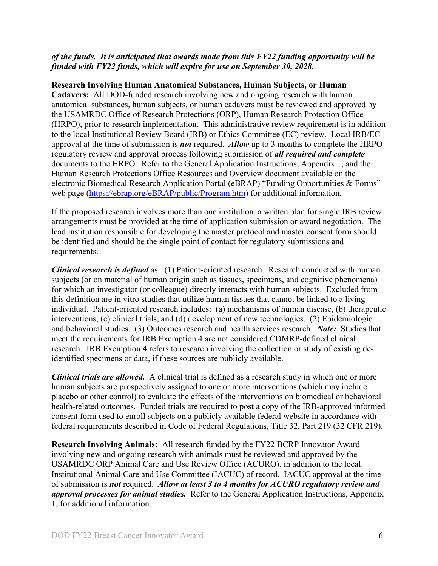#### *of the funds. It is anticipated that awards made from this FY22 funding opportunity will be funded with FY22 funds, which will expire for use on September 30, 2028.*

### **Research Involving Human Anatomical Substances, Human Subjects, or Human**

**Cadavers:** All DOD-funded research involving new and ongoing research with human anatomical substances, human subjects, or human cadavers must be reviewed and approved by the USAMRDC Office of Research Protections (ORP), Human Research Protection Office (HRPO), prior to research implementation. This administrative review requirement is in addition to the local Institutional Review Board (IRB) or Ethics Committee (EC) review. Local IRB/EC approval at the time of submission is *not* required. *Allow* up to 3 months to complete the HRPO regulatory review and approval process following submission of *all required and complete* documents to the HRPO. Refer to the General Application Instructions, Appendix 1, and the Human Research Protections Office Resources and Overview document available on the electronic Biomedical Research Application Portal (eBRAP) "Funding Opportunities & Forms" web page [\(https://ebrap.org/eBRAP/public/Program.htm\)](https://ebrap.org/eBRAP/public/Program.htm) for additional information.

If the proposed research involves more than one institution, a written plan for single IRB review arrangements must be provided at the time of application submission or award negotiation. The lead institution responsible for developing the master protocol and master consent form should be identified and should be the single point of contact for regulatory submissions and requirements.

*Clinical research is defined* as: (1) Patient-oriented research. Research conducted with human subjects (or on material of human origin such as tissues, specimens, and cognitive phenomena) for which an investigator (or colleague) directly interacts with human subjects. Excluded from this definition are in vitro studies that utilize human tissues that cannot be linked to a living individual. Patient-oriented research includes: (a) mechanisms of human disease, (b) therapeutic interventions, (c) clinical trials, and (d) development of new technologies. (2) Epidemiologic and behavioral studies. (3) Outcomes research and health services research. *Note:* Studies that meet the requirements for IRB Exemption 4 are not considered CDMRP-defined clinical research. IRB Exemption 4 refers to research involving the collection or study of existing deidentified specimens or data, if these sources are publicly available.

*Clinical trials are allowed.* A clinical trial is defined as a research study in which one or more human subjects are prospectively assigned to one or more interventions (which may include placebo or other control) to evaluate the effects of the interventions on biomedical or behavioral health-related outcomes. Funded trials are required to post a copy of the IRB-approved informed consent form used to enroll subjects on a publicly available federal website in accordance with federal requirements described in Code of Federal Regulations, Title 32, Part 219 (32 CFR 219).

**Research Involving Animals:** All research funded by the FY22 BCRP Innovator Award involving new and ongoing research with animals must be reviewed and approved by the USAMRDC ORP Animal Care and Use Review Office (ACURO), in addition to the local Institutional Animal Care and Use Committee (IACUC) of record. IACUC approval at the time of submission is *not* required. *Allow at least 3 to 4 months for ACURO regulatory review and approval processes for animal studies.* Refer to the General Application Instructions, Appendix 1, for additional information.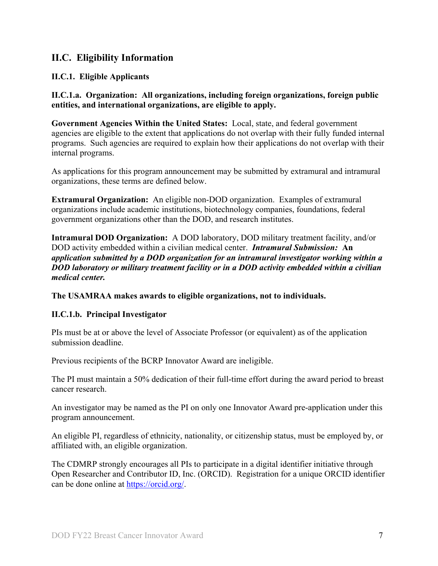## <span id="page-6-0"></span>**II.C. Eligibility Information**

## <span id="page-6-1"></span>**II.C.1. Eligible Applicants**

**II.C.1.a. Organization: All organizations, including foreign organizations, foreign public entities, and international organizations, are eligible to apply.** 

**Government Agencies Within the United States:** Local, state, and federal government agencies are eligible to the extent that applications do not overlap with their fully funded internal programs. Such agencies are required to explain how their applications do not overlap with their internal programs.

As applications for this program announcement may be submitted by extramural and intramural organizations, these terms are defined below.

**Extramural Organization:** An eligible non-DOD organization. Examples of extramural organizations include academic institutions, biotechnology companies, foundations, federal government organizations other than the DOD, and research institutes.

**Intramural DOD Organization:** A DOD laboratory, DOD military treatment facility, and/or DOD activity embedded within a civilian medical center. *Intramural Submission:* **An**  *application submitted by a DOD organization for an intramural investigator working within a DOD laboratory or military treatment facility or in a DOD activity embedded within a civilian medical center.*

**The USAMRAA makes awards to eligible organizations, not to individuals.**

## **II.C.1.b. Principal Investigator**

PIs must be at or above the level of Associate Professor (or equivalent) as of the application submission deadline.

Previous recipients of the BCRP Innovator Award are ineligible.

The PI must maintain a 50% dedication of their full-time effort during the award period to breast cancer research.

An investigator may be named as the PI on only one Innovator Award pre-application under this program announcement.

An eligible PI, regardless of ethnicity, nationality, or citizenship status, must be employed by, or affiliated with, an eligible organization.

The CDMRP strongly encourages all PIs to participate in a digital identifier initiative through Open Researcher and Contributor ID, Inc. (ORCID). Registration for a unique ORCID identifier can be done online at [https://orcid.org/.](https://orcid.org/)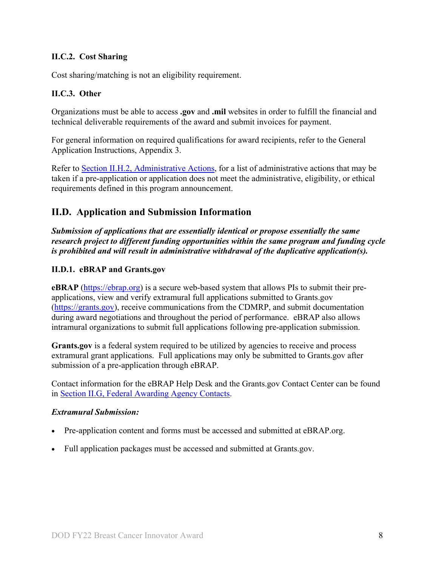## <span id="page-7-0"></span>**II.C.2. Cost Sharing**

Cost sharing/matching is not an eligibility requirement.

### <span id="page-7-1"></span>**II.C.3. Other**

Organizations must be able to access **.gov** and **.mil** websites in order to fulfill the financial and technical deliverable requirements of the award and submit invoices for payment.

For general information on required qualifications for award recipients, refer to the General Application Instructions, Appendix 3.

Refer to [Section II.H.2, Administrative Actions,](#page-30-0) for a list of administrative actions that may be taken if a pre-application or application does not meet the administrative, eligibility, or ethical requirements defined in this program announcement.

## <span id="page-7-2"></span>**II.D. Application and Submission Information**

*Submission of applications that are essentially identical or propose essentially the same research project to different funding opportunities within the same program and funding cycle is prohibited and will result in administrative withdrawal of the duplicative application(s).*

#### <span id="page-7-3"></span>**II.D.1. eBRAP and Grants.gov**

**eBRAP** [\(https://ebrap.org\)](https://ebrap.org/) is a secure web-based system that allows PIs to submit their preapplications, view and verify extramural full applications submitted to Grants.gov [\(https://grants.gov\)](https://grants.gov/), receive communications from the CDMRP, and submit documentation during award negotiations and throughout the period of performance. eBRAP also allows intramural organizations to submit full applications following pre-application submission.

Grants.gov is a federal system required to be utilized by agencies to receive and process extramural grant applications. Full applications may only be submitted to Grants.gov after submission of a pre-application through eBRAP.

Contact information for the eBRAP Help Desk and the Grants.gov Contact Center can be found in [Section II.G, Federal Awarding Agency Contacts.](#page-29-0)

#### *Extramural Submission:*

- Pre-application content and forms must be accessed and submitted at eBRAP.org.
- Full application packages must be accessed and submitted at Grants.gov.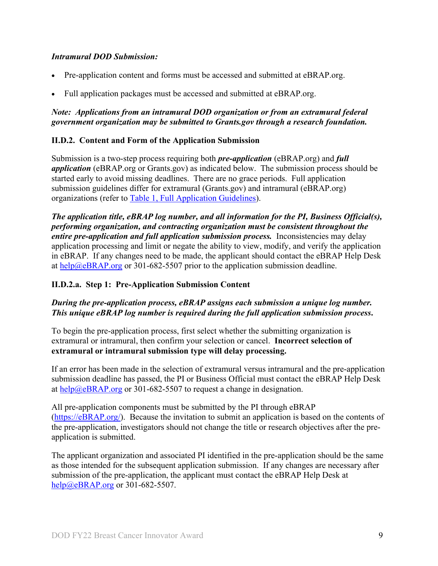## *Intramural DOD Submission:*

- Pre-application content and forms must be accessed and submitted at eBRAP.org.
- Full application packages must be accessed and submitted at eBRAP.org.

#### *Note: Applications from an intramural DOD organization or from an extramural federal government organization may be submitted to Grants.gov through a research foundation.*

#### <span id="page-8-0"></span>**II.D.2. Content and Form of the Application Submission**

Submission is a two-step process requiring both *pre-application* (eBRAP.org) and *full application* (eBRAP.org or Grants.gov) as indicated below. The submission process should be started early to avoid missing deadlines. There are no grace periods. Full application submission guidelines differ for extramural (Grants.gov) and intramural (eBRAP.org) organizations (refer to [Table 1, Full Application Guidelines\)](#page-12-0).

*The application title, eBRAP log number, and all information for the PI, Business Official(s), performing organization, and contracting organization must be consistent throughout the entire pre-application and full application submission process.* Inconsistencies may delay application processing and limit or negate the ability to view, modify, and verify the application in eBRAP. If any changes need to be made, the applicant should contact the eBRAP Help Desk at [help@eBRAP.org](mailto:help@eBRAP.org) or 301-682-5507 prior to the application submission deadline.

#### **II.D.2.a. Step 1: Pre-Application Submission Content**

## *During the pre-application process, eBRAP assigns each submission a unique log number. This unique eBRAP log number is required during the full application submission process***.**

To begin the pre-application process, first select whether the submitting organization is extramural or intramural, then confirm your selection or cancel. **Incorrect selection of extramural or intramural submission type will delay processing.**

If an error has been made in the selection of extramural versus intramural and the pre-application submission deadline has passed, the PI or Business Official must contact the eBRAP Help Desk at  $\frac{help@eBRAP.org}{$  or 301-682-5507 to request a change in designation.

All pre-application components must be submitted by the PI through eBRAP [\(https://eBRAP.org/\)](https://ebrap.org/). Because the invitation to submit an application is based on the contents of the pre-application, investigators should not change the title or research objectives after the preapplication is submitted.

The applicant organization and associated PI identified in the pre-application should be the same as those intended for the subsequent application submission. If any changes are necessary after submission of the pre-application, the applicant must contact the eBRAP Help Desk at [help@eBRAP.org](mailto:help@eBRAP.org) or 301-682-5507.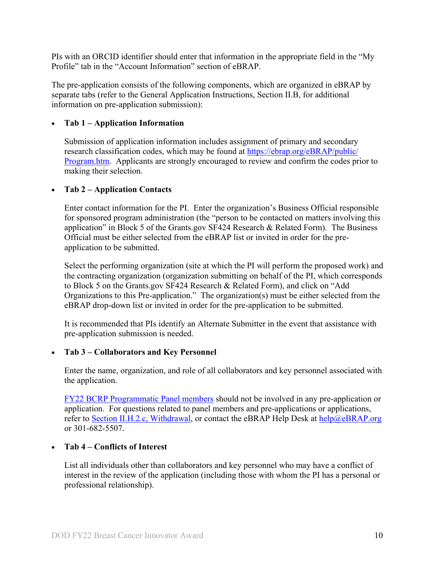PIs with an ORCID identifier should enter that information in the appropriate field in the "My Profile" tab in the "Account Information" section of eBRAP.

The pre-application consists of the following components, which are organized in eBRAP by separate tabs (refer to the General Application Instructions, Section II.B, for additional information on pre-application submission):

## • **Tab 1 – Application Information**

Submission of application information includes assignment of primary and secondary research classification codes, which may be found at [https://ebrap.org/eBRAP/public/](https://ebrap.org/eBRAP/public/Program.htm) [Program.htm.](https://ebrap.org/eBRAP/public/Program.htm) Applicants are strongly encouraged to review and confirm the codes prior to making their selection.

## • **Tab 2 – Application Contacts**

Enter contact information for the PI. Enter the organization's Business Official responsible for sponsored program administration (the "person to be contacted on matters involving this application" in Block 5 of the Grants.gov SF424 Research & Related Form). The Business Official must be either selected from the eBRAP list or invited in order for the preapplication to be submitted.

Select the performing organization (site at which the PI will perform the proposed work) and the contracting organization (organization submitting on behalf of the PI, which corresponds to Block 5 on the Grants.gov SF424 Research & Related Form), and click on "Add Organizations to this Pre-application." The organization(s) must be either selected from the eBRAP drop-down list or invited in order for the pre-application to be submitted.

It is recommended that PIs identify an Alternate Submitter in the event that assistance with pre-application submission is needed.

## • **Tab 3 – Collaborators and Key Personnel**

Enter the name, organization, and role of all collaborators and key personnel associated with the application.

[FY22 BCRP Programmatic Panel members](http://cdmrp.army.mil/bcrp/panels/panels22) should not be involved in any pre-application or application. For questions related to panel members and pre-applications or applications, refer to Section [II.H.2.c, Withdrawal,](#page-30-1) or contact the eBRAP Help Desk at [help@eBRAP.org](mailto:help@eBRAP.org) or 301-682-5507.

## • **Tab 4 – Conflicts of Interest**

List all individuals other than collaborators and key personnel who may have a conflict of interest in the review of the application (including those with whom the PI has a personal or professional relationship).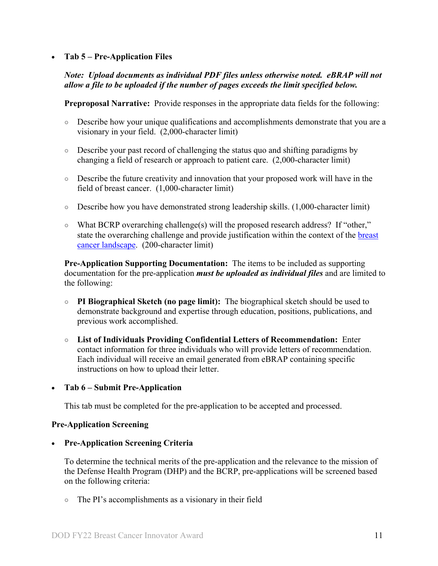#### • **Tab 5 – Pre-Application Files**

## *Note: Upload documents as individual PDF files unless otherwise noted. eBRAP will not allow a file to be uploaded if the number of pages exceeds the limit specified below.*

**Preproposal Narrative:** Provide responses in the appropriate data fields for the following:

- **○** Describe how your unique qualifications and accomplishments demonstrate that you are a visionary in your field. (2,000-character limit)
- **○** Describe your past record of challenging the status quo and shifting paradigms by changing a field of research or approach to patient care. (2,000-character limit)
- **○** Describe the future creativity and innovation that your proposed work will have in the field of breast cancer. (1,000-character limit)
- **○** Describe how you have demonstrated strong leadership skills. (1,000-character limit)
- **○** What BCRP overarching challenge(s) will the proposed research address? If "other," state the overarching challenge and provide justification within the context of the breast [cancer landscape.](https://cdmrp.army.mil/bcrp/pdfs/Breast%20Cancer%20Landscape2021.pdf) (200-character limit)

**Pre-Application Supporting Documentation:** The items to be included as supporting documentation for the pre-application *must be uploaded as individual files* and are limited to the following:

- **○ PI Biographical Sketch (no page limit):** The biographical sketch should be used to demonstrate background and expertise through education, positions, publications, and previous work accomplished.
- **○ List of Individuals Providing Confidential Letters of Recommendation:** Enter contact information for three individuals who will provide letters of recommendation. Each individual will receive an email generated from eBRAP containing specific instructions on how to upload their letter.

## • **Tab 6 – Submit Pre-Application**

This tab must be completed for the pre-application to be accepted and processed.

#### **Pre-Application Screening**

• **Pre-Application Screening Criteria**

To determine the technical merits of the pre-application and the relevance to the mission of the Defense Health Program (DHP) and the BCRP, pre-applications will be screened based on the following criteria:

○ The PI's accomplishments as a visionary in their field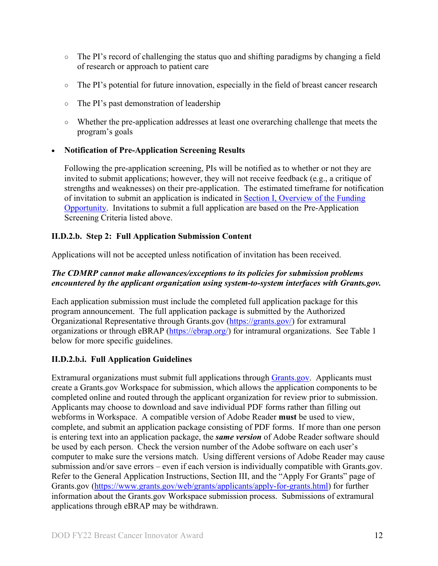- The PI's record of challenging the status quo and shifting paradigms by changing a field of research or approach to patient care
- The PI's potential for future innovation, especially in the field of breast cancer research
- **○** The PI's past demonstration of leadership
- **○** Whether the pre-application addresses at least one overarching challenge that meets the program's goals

## • **Notification of Pre-Application Screening Results**

Following the pre-application screening, PIs will be notified as to whether or not they are invited to submit applications; however, they will not receive feedback (e.g., a critique of strengths and weaknesses) on their pre-application. The estimated timeframe for notification of invitation to submit an application is indicated in Section [I, Overview of the Funding](#page-0-1)  [Opportunity.](#page-0-1) Invitations to submit a full application are based on the Pre-Application Screening Criteria listed above.

## **II.D.2.b. Step 2: Full Application Submission Content**

Applications will not be accepted unless notification of invitation has been received.

## *The CDMRP cannot make allowances/exceptions to its policies for submission problems encountered by the applicant organization using system-to-system interfaces with Grants.gov.*

Each application submission must include the completed full application package for this program announcement. The full application package is submitted by the Authorized Organizational Representative through Grants.gov [\(https://grants.gov/\)](https://grants.gov/) for extramural organizations or through eBRAP [\(https://ebrap.org/\)](https://ebrap.org/) for intramural organizations. See Table 1 below for more specific guidelines.

## **II.D.2.b.i. Full Application Guidelines**

Extramural organizations must submit full applications through [Grants.gov.](https://grants.gov/) Applicants must create a Grants.gov Workspace for submission, which allows the application components to be completed online and routed through the applicant organization for review prior to submission. Applicants may choose to download and save individual PDF forms rather than filling out webforms in Workspace. A compatible version of Adobe Reader **must** be used to view, complete, and submit an application package consisting of PDF forms. If more than one person is entering text into an application package, the *same version* of Adobe Reader software should be used by each person. Check the version number of the Adobe software on each user's computer to make sure the versions match. Using different versions of Adobe Reader may cause submission and/or save errors – even if each version is individually compatible with Grants.gov. Refer to the General Application Instructions, Section III, and the "Apply For Grants" page of Grants.gov [\(https://www.grants.gov/web/grants/applicants/apply-for-grants.html\)](https://www.grants.gov/web/grants/applicants/apply-for-grants.html) for further information about the Grants.gov Workspace submission process. Submissions of extramural applications through eBRAP may be withdrawn.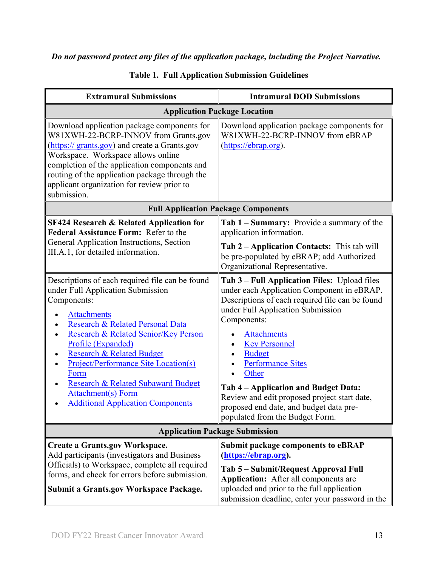## *Do not password protect any files of the application package, including the Project Narrative.*

<span id="page-12-0"></span>

| <b>Extramural Submissions</b>                                                                                                                                                                                                                                                                                                                                                                                                             | <b>Intramural DOD Submissions</b>                                                                                                                                                                                                                                                                                                                                                                                                                                                        |  |  |  |
|-------------------------------------------------------------------------------------------------------------------------------------------------------------------------------------------------------------------------------------------------------------------------------------------------------------------------------------------------------------------------------------------------------------------------------------------|------------------------------------------------------------------------------------------------------------------------------------------------------------------------------------------------------------------------------------------------------------------------------------------------------------------------------------------------------------------------------------------------------------------------------------------------------------------------------------------|--|--|--|
| <b>Application Package Location</b>                                                                                                                                                                                                                                                                                                                                                                                                       |                                                                                                                                                                                                                                                                                                                                                                                                                                                                                          |  |  |  |
| Download application package components for<br>W81XWH-22-BCRP-INNOV from Grants.gov<br>(https:// grants.gov) and create a Grants.gov<br>Workspace. Workspace allows online<br>completion of the application components and<br>routing of the application package through the<br>applicant organization for review prior to<br>submission.                                                                                                 | Download application package components for<br>W81XWH-22-BCRP-INNOV from eBRAP<br>(https://ebrap.org).                                                                                                                                                                                                                                                                                                                                                                                   |  |  |  |
| <b>Full Application Package Components</b>                                                                                                                                                                                                                                                                                                                                                                                                |                                                                                                                                                                                                                                                                                                                                                                                                                                                                                          |  |  |  |
| <b>SF424 Research &amp; Related Application for</b><br><b>Federal Assistance Form: Refer to the</b><br>General Application Instructions, Section<br>III.A.1, for detailed information.                                                                                                                                                                                                                                                    | Tab 1 – Summary: Provide a summary of the<br>application information.<br>Tab 2 – Application Contacts: This tab will<br>be pre-populated by eBRAP; add Authorized<br>Organizational Representative.                                                                                                                                                                                                                                                                                      |  |  |  |
| Descriptions of each required file can be found<br>under Full Application Submission<br>Components:<br><b>Attachments</b><br>Research & Related Personal Data<br>Research & Related Senior/Key Person<br>Profile (Expanded)<br><b>Research &amp; Related Budget</b><br><b>Project/Performance Site Location(s)</b><br>Form<br>Research & Related Subaward Budget<br><b>Attachment(s)</b> Form<br><b>Additional Application Components</b> | Tab 3 – Full Application Files: Upload files<br>under each Application Component in eBRAP.<br>Descriptions of each required file can be found<br>under Full Application Submission<br>Components:<br><b>Attachments</b><br>$\bullet$<br><b>Key Personnel</b><br><b>Budget</b><br><b>Performance Sites</b><br>Other<br>Tab 4 – Application and Budget Data:<br>Review and edit proposed project start date,<br>proposed end date, and budget data pre-<br>populated from the Budget Form. |  |  |  |
| <b>Application Package Submission</b>                                                                                                                                                                                                                                                                                                                                                                                                     |                                                                                                                                                                                                                                                                                                                                                                                                                                                                                          |  |  |  |
| Create a Grants.gov Workspace.<br>Add participants (investigators and Business<br>Officials) to Workspace, complete all required<br>forms, and check for errors before submission.<br>Submit a Grants.gov Workspace Package.                                                                                                                                                                                                              | <b>Submit package components to eBRAP</b><br>(https://ebrap.org).<br>Tab 5 – Submit/Request Approval Full<br>Application: After all components are<br>uploaded and prior to the full application<br>submission deadline, enter your password in the                                                                                                                                                                                                                                      |  |  |  |

# **Table 1. Full Application Submission Guidelines**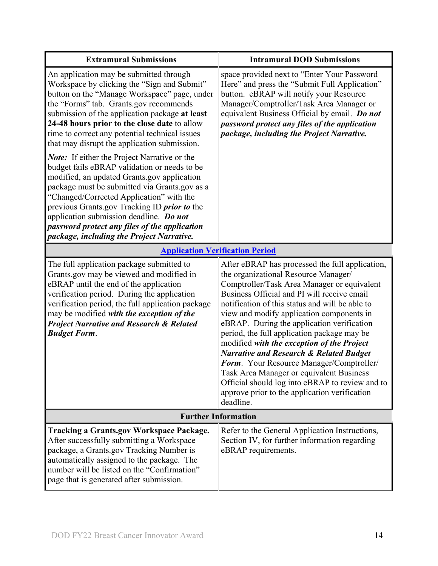| <b>Extramural Submissions</b>                                                                                                                                                                                                                                                                                                                                                                                                                                                                                                                                                                                                                                                                                                                                                                                                           | <b>Intramural DOD Submissions</b>                                                                                                                                                                                                                                                                                                                                                                                                                                                                                                                                                                                                                                                               |  |
|-----------------------------------------------------------------------------------------------------------------------------------------------------------------------------------------------------------------------------------------------------------------------------------------------------------------------------------------------------------------------------------------------------------------------------------------------------------------------------------------------------------------------------------------------------------------------------------------------------------------------------------------------------------------------------------------------------------------------------------------------------------------------------------------------------------------------------------------|-------------------------------------------------------------------------------------------------------------------------------------------------------------------------------------------------------------------------------------------------------------------------------------------------------------------------------------------------------------------------------------------------------------------------------------------------------------------------------------------------------------------------------------------------------------------------------------------------------------------------------------------------------------------------------------------------|--|
| An application may be submitted through<br>Workspace by clicking the "Sign and Submit"<br>button on the "Manage Workspace" page, under<br>the "Forms" tab. Grants.gov recommends<br>submission of the application package at least<br>24-48 hours prior to the close date to allow<br>time to correct any potential technical issues<br>that may disrupt the application submission.<br><b>Note:</b> If either the Project Narrative or the<br>budget fails eBRAP validation or needs to be<br>modified, an updated Grants.gov application<br>package must be submitted via Grants.gov as a<br>"Changed/Corrected Application" with the<br>previous Grants.gov Tracking ID <i>prior to</i> the<br>application submission deadline. Do not<br>password protect any files of the application<br>package, including the Project Narrative. | space provided next to "Enter Your Password"<br>Here" and press the "Submit Full Application"<br>button. eBRAP will notify your Resource<br>Manager/Comptroller/Task Area Manager or<br>equivalent Business Official by email. Do not<br>password protect any files of the application<br>package, including the Project Narrative.                                                                                                                                                                                                                                                                                                                                                             |  |
| <b>Application Verification Period</b>                                                                                                                                                                                                                                                                                                                                                                                                                                                                                                                                                                                                                                                                                                                                                                                                  |                                                                                                                                                                                                                                                                                                                                                                                                                                                                                                                                                                                                                                                                                                 |  |
| The full application package submitted to<br>Grants.gov may be viewed and modified in<br>eBRAP until the end of the application<br>verification period. During the application<br>verification period, the full application package<br>may be modified with the exception of the<br><b>Project Narrative and Research &amp; Related</b><br><b>Budget Form.</b>                                                                                                                                                                                                                                                                                                                                                                                                                                                                          | After eBRAP has processed the full application,<br>the organizational Resource Manager/<br>Comptroller/Task Area Manager or equivalent<br>Business Official and PI will receive email<br>notification of this status and will be able to<br>view and modify application components in<br>eBRAP. During the application verification<br>period, the full application package may be<br>modified with the exception of the Project<br><b>Narrative and Research &amp; Related Budget</b><br>Form. Your Resource Manager/Comptroller/<br>Task Area Manager or equivalent Business<br>Official should log into eBRAP to review and to<br>approve prior to the application verification<br>deadline. |  |
| <b>Further Information</b>                                                                                                                                                                                                                                                                                                                                                                                                                                                                                                                                                                                                                                                                                                                                                                                                              |                                                                                                                                                                                                                                                                                                                                                                                                                                                                                                                                                                                                                                                                                                 |  |
| <b>Tracking a Grants.gov Workspace Package.</b><br>After successfully submitting a Workspace<br>package, a Grants.gov Tracking Number is<br>automatically assigned to the package. The<br>number will be listed on the "Confirmation"<br>page that is generated after submission.                                                                                                                                                                                                                                                                                                                                                                                                                                                                                                                                                       | Refer to the General Application Instructions,<br>Section IV, for further information regarding<br>eBRAP requirements.                                                                                                                                                                                                                                                                                                                                                                                                                                                                                                                                                                          |  |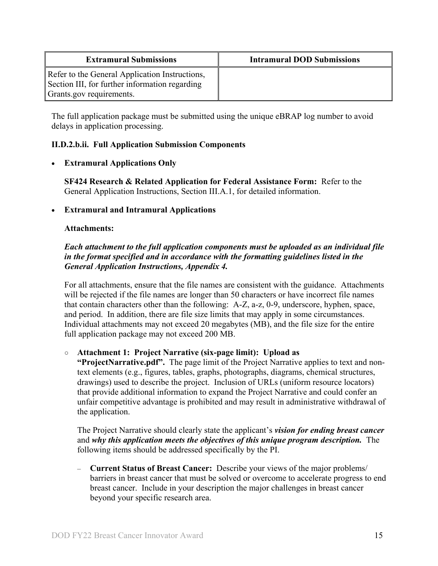| <b>Extramural Submissions</b>                                                                                                | <b>Intramural DOD Submissions</b> |
|------------------------------------------------------------------------------------------------------------------------------|-----------------------------------|
| Refer to the General Application Instructions,<br>Section III, for further information regarding<br>Grants.gov requirements. |                                   |

The full application package must be submitted using the unique eBRAP log number to avoid delays in application processing.

## **II.D.2.b.ii. Full Application Submission Components**

#### • **Extramural Applications Only**

**SF424 Research & Related Application for Federal Assistance Form:** Refer to the General Application Instructions, Section III.A.1, for detailed information.

#### • **Extramural and Intramural Applications**

#### <span id="page-14-0"></span>**Attachments:**

#### *Each attachment to the full application components must be uploaded as an individual file in the format specified and in accordance with the formatting guidelines listed in the General Application Instructions, Appendix 4.*

For all attachments, ensure that the file names are consistent with the guidance. Attachments will be rejected if the file names are longer than 50 characters or have incorrect file names that contain characters other than the following: A-Z, a-z, 0-9, underscore, hyphen, space, and period. In addition, there are file size limits that may apply in some circumstances. Individual attachments may not exceed 20 megabytes (MB), and the file size for the entire full application package may not exceed 200 MB.

#### ○ **Attachment 1: Project Narrative (six-page limit): Upload as**

**"ProjectNarrative.pdf".** The page limit of the Project Narrative applies to text and nontext elements (e.g., figures, tables, graphs, photographs, diagrams, chemical structures, drawings) used to describe the project. Inclusion of URLs (uniform resource locators) that provide additional information to expand the Project Narrative and could confer an unfair competitive advantage is prohibited and may result in administrative withdrawal of the application.

The Project Narrative should clearly state the applicant's *vision for ending breast cancer*  and *why this application meets the objectives of this unique program description.* The following items should be addressed specifically by the PI.

– **Current Status of Breast Cancer:** Describe your views of the major problems/ barriers in breast cancer that must be solved or overcome to accelerate progress to end breast cancer. Include in your description the major challenges in breast cancer beyond your specific research area.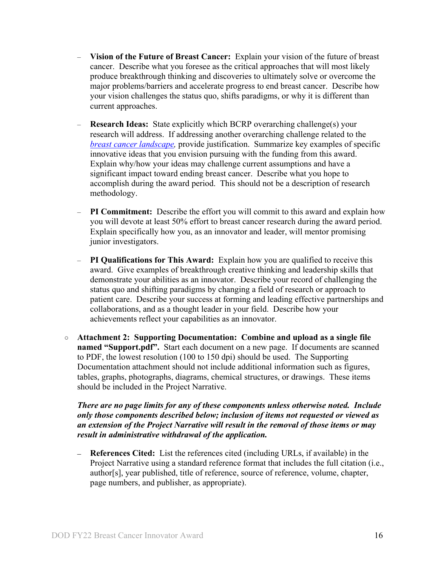- **Vision of the Future of Breast Cancer:**Explain your vision of the future of breast cancer. Describe what you foresee as the critical approaches that will most likely produce breakthrough thinking and discoveries to ultimately solve or overcome the major problems/barriers and accelerate progress to end breast cancer. Describe how your vision challenges the status quo, shifts paradigms, or why it is different than current approaches.
- **Research Ideas:**State explicitly which BCRP overarching challenge(s) your research will address. If addressing another overarching challenge related to the *[breast cancer landscape,](https://cdmrp.army.mil/bcrp/pdfs/Breast%20Cancer%20Landscape2021.pdf)* provide justification. Summarize key examples of specific innovative ideas that you envision pursuing with the funding from this award. Explain why/how your ideas may challenge current assumptions and have a significant impact toward ending breast cancer. Describe what you hope to accomplish during the award period. This should not be a description of research methodology.
- **PI Commitment:**Describe the effort you will commit to this award and explain how you will devote at least 50% effort to breast cancer research during the award period. Explain specifically how you, as an innovator and leader, will mentor promising junior investigators.
- **PI Qualifications for This Award:**Explain how you are qualified to receive this award. Give examples of breakthrough creative thinking and leadership skills that demonstrate your abilities as an innovator. Describe your record of challenging the status quo and shifting paradigms by changing a field of research or approach to patient care. Describe your success at forming and leading effective partnerships and collaborations, and as a thought leader in your field. Describe how your achievements reflect your capabilities as an innovator.
- **Attachment 2: Supporting Documentation: Combine and upload as a single file named "Support.pdf".** Start each document on a new page. If documents are scanned to PDF, the lowest resolution (100 to 150 dpi) should be used. The Supporting Documentation attachment should not include additional information such as figures, tables, graphs, photographs, diagrams, chemical structures, or drawings. These items should be included in the Project Narrative.

*There are no page limits for any of these components unless otherwise noted. Include only those components described below; inclusion of items not requested or viewed as an extension of the Project Narrative will result in the removal of those items or may result in administrative withdrawal of the application.*

**References Cited:** List the references cited (including URLs, if available) in the Project Narrative using a standard reference format that includes the full citation (i.e., author[s], year published, title of reference, source of reference, volume, chapter, page numbers, and publisher, as appropriate).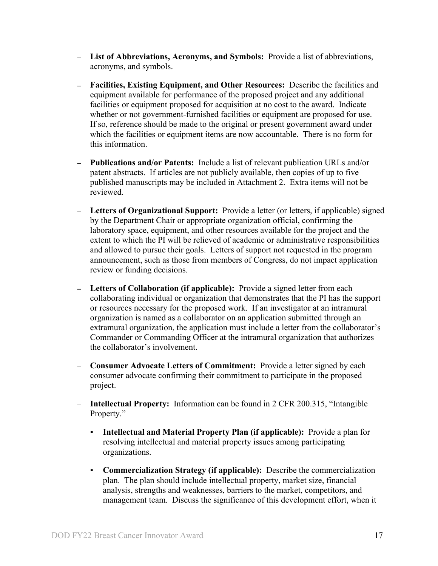- **List of Abbreviations, Acronyms, and Symbols:** Provide a list of abbreviations, acronyms, and symbols.
- **Facilities, Existing Equipment, and Other Resources:** Describe the facilities and equipment available for performance of the proposed project and any additional facilities or equipment proposed for acquisition at no cost to the award. Indicate whether or not government-furnished facilities or equipment are proposed for use. If so, reference should be made to the original or present government award under which the facilities or equipment items are now accountable. There is no form for this information.
- **Publications and/or Patents:** Include a list of relevant publication URLs and/or patent abstracts. If articles are not publicly available, then copies of up to five published manuscripts may be included in Attachment 2. Extra items will not be reviewed.
- **Letters of Organizational Support:** Provide a letter (or letters, if applicable) signed by the Department Chair or appropriate organization official, confirming the laboratory space, equipment, and other resources available for the project and the extent to which the PI will be relieved of academic or administrative responsibilities and allowed to pursue their goals. Letters of support not requested in the program announcement, such as those from members of Congress, do not impact application review or funding decisions.
- **Letters of Collaboration (if applicable):** Provide a signed letter from each collaborating individual or organization that demonstrates that the PI has the support or resources necessary for the proposed work. If an investigator at an intramural organization is named as a collaborator on an application submitted through an extramural organization, the application must include a letter from the collaborator's Commander or Commanding Officer at the intramural organization that authorizes the collaborator's involvement.
- **Consumer Advocate Letters of Commitment:** Provide a letter signed by each consumer advocate confirming their commitment to participate in the proposed project.
- **Intellectual Property:** Information can be found in 2 CFR 200.315, "Intangible Property."
	- **Intellectual and Material Property Plan (if applicable):** Provide a plan for resolving intellectual and material property issues among participating organizations.
	- **Commercialization Strategy (if applicable):** Describe the commercialization plan. The plan should include intellectual property, market size, financial analysis, strengths and weaknesses, barriers to the market, competitors, and management team. Discuss the significance of this development effort, when it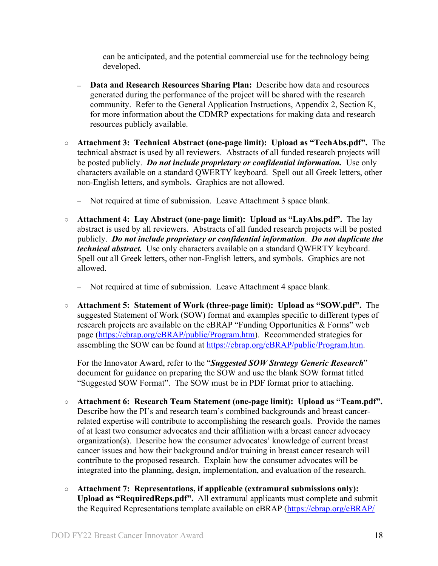can be anticipated, and the potential commercial use for the technology being developed.

- **Data and Research Resources Sharing Plan:** Describe how data and resources generated during the performance of the project will be shared with the research community. Refer to the General Application Instructions, Appendix 2, Section K, for more information about the CDMRP expectations for making data and research resources publicly available.
- **Attachment 3: Technical Abstract (one-page limit): Upload as "TechAbs.pdf".** The technical abstract is used by all reviewers. Abstracts of all funded research projects will be posted publicly. *Do not include proprietary or confidential information.* Use only characters available on a standard QWERTY keyboard. Spell out all Greek letters, other non-English letters, and symbols. Graphics are not allowed.
	- Not required at time of submission. Leave Attachment 3 space blank.
- **Attachment 4: Lay Abstract (one-page limit): Upload as "LayAbs.pdf".** The lay abstract is used by all reviewers. Abstracts of all funded research projects will be posted publicly. *Do not include proprietary or confidential information*. *Do not duplicate the technical abstract.* Use only characters available on a standard QWERTY keyboard. Spell out all Greek letters, other non-English letters, and symbols. Graphics are not allowed.
	- Not required at time of submission. Leave Attachment 4 space blank.
- **Attachment 5: Statement of Work (three-page limit): Upload as "SOW.pdf".** The suggested Statement of Work (SOW) format and examples specific to different types of research projects are available on the eBRAP "Funding Opportunities & Forms" web page [\(https://ebrap.org/eBRAP/public/Program.htm\)](https://ebrap.org/eBRAP/public/Program.htm). Recommended strategies for assembling the SOW can be found at [https://ebrap.org/eBRAP/public/Program.htm.](https://ebrap.org/eBRAP/public/Program.htm)

For the Innovator Award, refer to the "*Suggested SOW Strategy Generic Research*" document for guidance on preparing the SOW and use the blank SOW format titled "Suggested SOW Format". The SOW must be in PDF format prior to attaching.

- **Attachment 6: Research Team Statement (one-page limit): Upload as "Team.pdf".**  Describe how the PI's and research team's combined backgrounds and breast cancerrelated expertise will contribute to accomplishing the research goals. Provide the names of at least two consumer advocates and their affiliation with a breast cancer advocacy organization(s). Describe how the consumer advocates' knowledge of current breast cancer issues and how their background and/or training in breast cancer research will contribute to the proposed research. Explain how the consumer advocates will be integrated into the planning, design, implementation, and evaluation of the research.
- **Attachment 7: Representations, if applicable (extramural submissions only): Upload as "RequiredReps.pdf".** All extramural applicants must complete and submit the Required Representations template available on eBRAP [\(https://ebrap.org/eBRAP/](https://ebrap.org/eBRAP/public/Program.htm)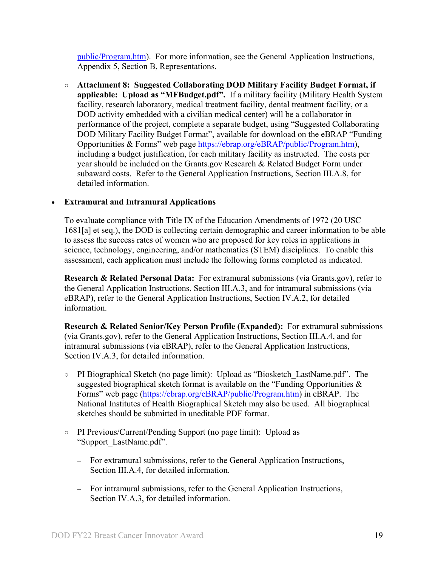[public/Program.htm\)](https://ebrap.org/eBRAP/public/Program.htm). For more information, see the General Application Instructions, Appendix 5, Section B, Representations.

<span id="page-18-2"></span>○ **Attachment 8: Suggested Collaborating DOD Military Facility Budget Format, if applicable: Upload as "MFBudget.pdf".** If a military facility (Military Health System facility, research laboratory, medical treatment facility, dental treatment facility, or a DOD activity embedded with a civilian medical center) will be a collaborator in performance of the project, complete a separate budget, using "Suggested Collaborating DOD Military Facility Budget Format", available for download on the eBRAP "Funding Opportunities & Forms" web page [https://ebrap.org/eBRAP/public/Program.htm\)](https://ebrap.org/eBRAP/public/Program.htm), including a budget justification, for each military facility as instructed. The costs per year should be included on the Grants.gov Research & Related Budget Form under subaward costs. Refer to the General Application Instructions, Section III.A.8, for detailed information.

## • **Extramural and Intramural Applications**

To evaluate compliance with Title IX of the Education Amendments of 1972 (20 USC 1681[a] et seq.), the DOD is collecting certain demographic and career information to be able to assess the success rates of women who are proposed for key roles in applications in science, technology, engineering, and/or mathematics (STEM) disciplines. To enable this assessment, each application must include the following forms completed as indicated.

<span id="page-18-0"></span>**Research & Related Personal Data:** For extramural submissions (via Grants.gov), refer to the General Application Instructions, Section III.A.3, and for intramural submissions (via eBRAP), refer to the General Application Instructions, Section IV.A.2, for detailed information.

<span id="page-18-1"></span>**Research & Related Senior/Key Person Profile (Expanded):** For extramural submissions (via Grants.gov), refer to the General Application Instructions, Section III.A.4, and for intramural submissions (via eBRAP), refer to the General Application Instructions, Section IV.A.3, for detailed information.

- PI Biographical Sketch (no page limit): Upload as "Biosketch\_LastName.pdf". The suggested biographical sketch format is available on the "Funding Opportunities  $\&$ Forms" web page [\(https://ebrap.org/eBRAP/public/Program.htm\)](https://ebrap.org/eBRAP/public/Program.htm) in eBRAP. The National Institutes of Health Biographical Sketch may also be used. All biographical sketches should be submitted in uneditable PDF format.
- PI Previous/Current/Pending Support (no page limit): Upload as "Support\_LastName.pdf".
	- For extramural submissions, refer to the General Application Instructions, Section III.A.4, for detailed information.
	- For intramural submissions, refer to the General Application Instructions, Section IV.A.3, for detailed information.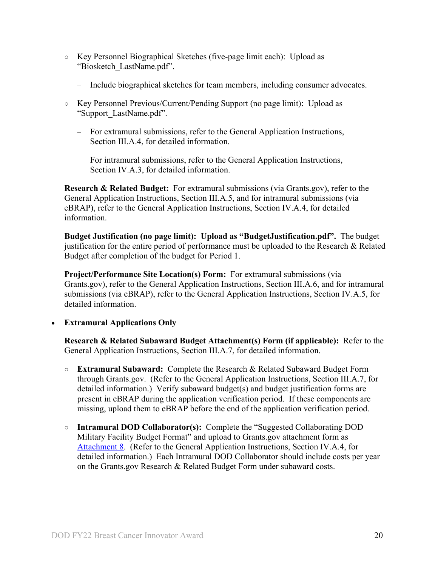- Key Personnel Biographical Sketches (five-page limit each): Upload as "Biosketch\_LastName.pdf".
	- Include biographical sketches for team members, including consumer advocates.
- Key Personnel Previous/Current/Pending Support (no page limit): Upload as "Support\_LastName.pdf".
	- For extramural submissions, refer to the General Application Instructions, Section III.A.4, for detailed information.
	- For intramural submissions, refer to the General Application Instructions, Section IV.A.3, for detailed information.

<span id="page-19-0"></span>**Research & Related Budget:** For extramural submissions (via Grants.gov), refer to the General Application Instructions, Section III.A.5, and for intramural submissions (via eBRAP), refer to the General Application Instructions, Section IV.A.4, for detailed information.

**Budget Justification (no page limit): Upload as "BudgetJustification.pdf".** The budget justification for the entire period of performance must be uploaded to the Research & Related Budget after completion of the budget for Period 1.

<span id="page-19-1"></span>**Project/Performance Site Location(s) Form:** For extramural submissions (via Grants.gov), refer to the General Application Instructions, Section III.A.6, and for intramural submissions (via eBRAP), refer to the General Application Instructions, Section IV.A.5, for detailed information.

## • **Extramural Applications Only**

<span id="page-19-2"></span>**Research & Related Subaward Budget Attachment(s) Form (if applicable):** Refer to the General Application Instructions, Section III.A.7, for detailed information.

- **Extramural Subaward:** Complete the Research & Related Subaward Budget Form through Grants.gov. (Refer to the General Application Instructions, Section III.A.7, for detailed information.) Verify subaward budget(s) and budget justification forms are present in eBRAP during the application verification period. If these components are missing, upload them to eBRAP before the end of the application verification period.
- **Intramural DOD Collaborator(s):** Complete the "Suggested Collaborating DOD Military Facility Budget Format" and upload to Grants.gov attachment form as [Attachment 8.](#page-18-2) (Refer to the General Application Instructions, Section IV.A.4, for detailed information.) Each Intramural DOD Collaborator should include costs per year on the Grants.gov Research & Related Budget Form under subaward costs.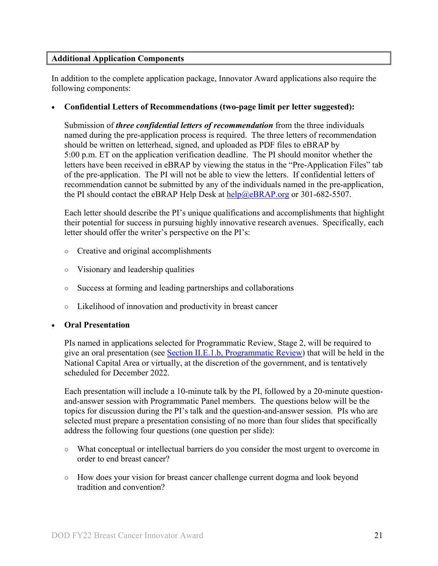#### <span id="page-20-0"></span>**Additional Application Components**

In addition to the complete application package, Innovator Award applications also require the following components:

#### • **Confidential Letters of Recommendations (two-page limit per letter suggested):**

Submission of *three confidential letters of recommendation* from the three individuals named during the pre-application process is required. The three letters of recommendation should be written on letterhead, signed, and uploaded as PDF files to eBRAP by 5:00 p.m. ET on the application verification deadline. The PI should monitor whether the letters have been received in eBRAP by viewing the status in the "Pre-Application Files" tab of the pre-application. The PI will not be able to view the letters. If confidential letters of recommendation cannot be submitted by any of the individuals named in the pre-application, the PI should contact the eBRAP Help Desk at  $\frac{heb}{(a)eBRAP}$ .org or 301-682-5507.

Each letter should describe the PI's unique qualifications and accomplishments that highlight their potential for success in pursuing highly innovative research avenues. Specifically, each letter should offer the writer's perspective on the PI's:

- Creative and original accomplishments
- Visionary and leadership qualities
- Success at forming and leading partnerships and collaborations
- Likelihood of innovation and productivity in breast cancer

#### • **Oral Presentation**

PIs named in applications selected for Programmatic Review, Stage 2, will be required to give an oral presentation (see [Section II.E.1.b, Programmatic Review\)](#page-25-1) that will be held in the National Capital Area or virtually, at the discretion of the government, and is tentatively scheduled for December 2022.

Each presentation will include a 10-minute talk by the PI, followed by a 20-minute questionand-answer session with Programmatic Panel members. The questions below will be the topics for discussion during the PI's talk and the question-and-answer session. PIs who are selected must prepare a presentation consisting of no more than four slides that specifically address the following four questions (one question per slide):

- What conceptual or intellectual barriers do you consider the most urgent to overcome in order to end breast cancer?
- How does your vision for breast cancer challenge current dogma and look beyond tradition and convention?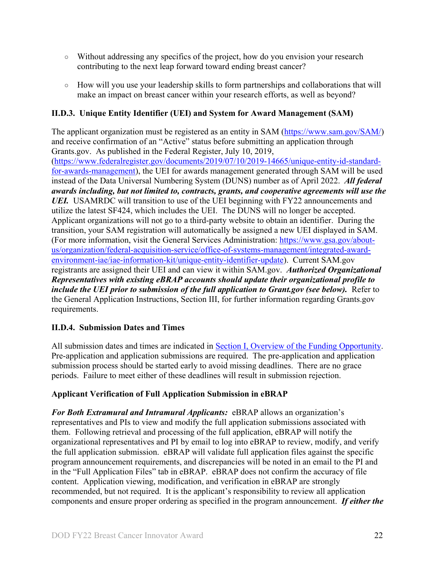- Without addressing any specifics of the project, how do you envision your research contributing to the next leap forward toward ending breast cancer?
- How will you use your leadership skills to form partnerships and collaborations that will make an impact on breast cancer within your research efforts, as well as beyond?

## <span id="page-21-0"></span>**II.D.3. Unique Entity Identifier (UEI) and System for Award Management (SAM)**

The applicant organization must be registered as an entity in SAM [\(https://www.sam.gov/SAM/\)](https://www.sam.gov/SAM/) and receive confirmation of an "Active" status before submitting an application through Grants.gov. As published in the Federal Register, July 10, 2019, [\(https://www.federalregister.gov/documents/2019/07/10/2019-14665/unique-entity-id-standard](https://www.federalregister.gov/documents/2019/07/10/2019-14665/unique-entity-id-standard-for-awards-management)[for-awards-management\)](https://www.federalregister.gov/documents/2019/07/10/2019-14665/unique-entity-id-standard-for-awards-management), the UEI for awards management generated through SAM will be used instead of the Data Universal Numbering System (DUNS) number as of April 2022. *All federal awards including, but not limited to, contracts, grants, and cooperative agreements will use the UEI.* USAMRDC will transition to use of the UEI beginning with FY22 announcements and utilize the latest SF424, which includes the UEI. The DUNS will no longer be accepted. Applicant organizations will not go to a third-party website to obtain an identifier. During the transition, your SAM registration will automatically be assigned a new UEI displayed in SAM. (For more information, visit the General Services Administration: [https://www.gsa.gov/about](https://www.gsa.gov/about-us/organization/federal-acquisition-service/office-of-systems-management/integrated-award-environment-iae/iae-information-kit/unique-entity-identifier-update)[us/organization/federal-acquisition-service/office-of-systems-management/integrated-award](https://www.gsa.gov/about-us/organization/federal-acquisition-service/office-of-systems-management/integrated-award-environment-iae/iae-information-kit/unique-entity-identifier-update)[environment-iae/iae-information-kit/unique-entity-identifier-update\)](https://www.gsa.gov/about-us/organization/federal-acquisition-service/office-of-systems-management/integrated-award-environment-iae/iae-information-kit/unique-entity-identifier-update). Current SAM.gov registrants are assigned their UEI and can view it within SAM.gov. *Authorized Organizational Representatives with existing eBRAP accounts should update their organizational profile to include the UEI prior to submission of the full application to Grant.gov (see below).* Refer to the General Application Instructions, Section III, for further information regarding Grants.gov requirements.

## <span id="page-21-1"></span>**II.D.4. Submission Dates and Times**

All submission dates and times are indicated in [Section I, Overview of the Funding Opportunity.](#page-0-1) Pre-application and application submissions are required. The pre-application and application submission process should be started early to avoid missing deadlines. There are no grace periods. Failure to meet either of these deadlines will result in submission rejection.

## <span id="page-21-2"></span>**Applicant Verification of Full Application Submission in eBRAP**

*For Both Extramural and Intramural Applicants:* eBRAP allows an organization's representatives and PIs to view and modify the full application submissions associated with them. Following retrieval and processing of the full application, eBRAP will notify the organizational representatives and PI by email to log into eBRAP to review, modify, and verify the full application submission. eBRAP will validate full application files against the specific program announcement requirements, and discrepancies will be noted in an email to the PI and in the "Full Application Files" tab in eBRAP. eBRAP does not confirm the accuracy of file content. Application viewing, modification, and verification in eBRAP are strongly recommended, but not required. It is the applicant's responsibility to review all application components and ensure proper ordering as specified in the program announcement. *If either the*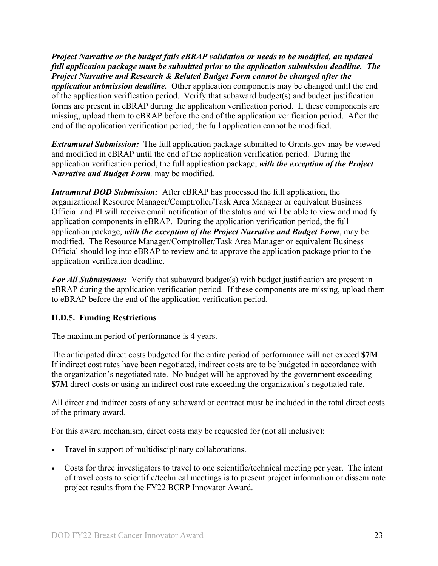*Project Narrative or the budget fails eBRAP validation or needs to be modified, an updated full application package must be submitted prior to the application submission deadline. The Project Narrative and Research & Related Budget Form cannot be changed after the application submission deadline.* Other application components may be changed until the end of the [application verification period.](#page-0-0) Verify that subaward budget(s) and budget justification forms are present in eBRAP during the application verification period. If these components are missing, upload them to eBRAP before the end of the application verification period. After the end of the application verification period, the full application cannot be modified.

*Extramural Submission:* The full application package submitted to Grants.gov may be viewed and modified in eBRAP until the end of the application verification period. During the application verification period, the full application package, *with the exception of the Project Narrative and Budget Form,* may be modified.

*Intramural DOD Submission:* After eBRAP has processed the full application, the organizational Resource Manager/Comptroller/Task Area Manager or equivalent Business Official and PI will receive email notification of the status and will be able to view and modify application components in eBRAP. During the application verification period, the full application package, *with the exception of the Project Narrative and Budget Form*, may be modified. The Resource Manager/Comptroller/Task Area Manager or equivalent Business Official should log into eBRAP to review and to approve the application package prior to the application verification deadline.

*For All Submissions:* Verify that subaward budget(s) with budget justification are present in eBRAP during the application verification period. If these components are missing, upload them to eBRAP before the end of the application verification period.

## <span id="page-22-0"></span>**II.D.5. Funding Restrictions**

The maximum period of performance is **4** years.

The anticipated direct costs budgeted for the entire period of performance will not exceed **\$7M**. If indirect cost rates have been negotiated, indirect costs are to be budgeted in accordance with the organization's negotiated rate. No budget will be approved by the government exceeding **\$7M** direct costs or using an indirect cost rate exceeding the organization's negotiated rate.

All direct and indirect costs of any subaward or contract must be included in the total direct costs of the primary award.

For this award mechanism, direct costs may be requested for (not all inclusive):

- Travel in support of multidisciplinary collaborations.
- Costs for three investigators to travel to one scientific/technical meeting per year. The intent of travel costs to scientific/technical meetings is to present project information or disseminate project results from the FY22 BCRP Innovator Award.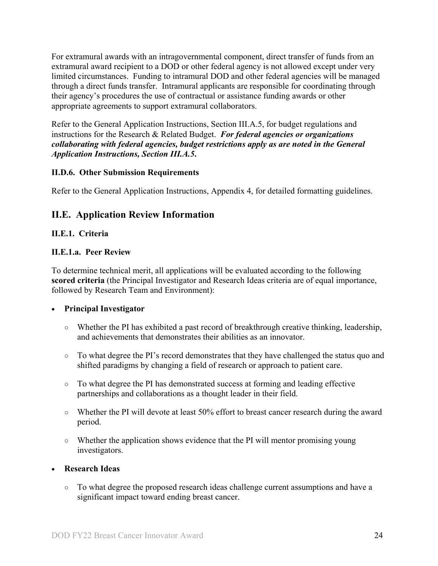For extramural awards with an intragovernmental component, direct transfer of funds from an extramural award recipient to a DOD or other federal agency is not allowed except under very limited circumstances. Funding to intramural DOD and other federal agencies will be managed through a direct funds transfer. Intramural applicants are responsible for coordinating through their agency's procedures the use of contractual or assistance funding awards or other appropriate agreements to support extramural collaborators.

Refer to the General Application Instructions, Section III.A.5, for budget regulations and instructions for the Research & Related Budget. *For federal agencies or organizations collaborating with federal agencies, budget restrictions apply as are noted in the General Application Instructions, Section III.A.5***.**

## <span id="page-23-0"></span>**II.D.6. Other Submission Requirements**

Refer to the General Application Instructions, Appendix 4, for detailed formatting guidelines.

## <span id="page-23-1"></span>**II.E. Application Review Information**

## <span id="page-23-2"></span>**II.E.1. Criteria**

## **II.E.1.a. Peer Review**

To determine technical merit, all applications will be evaluated according to the following **scored criteria** (the Principal Investigator and Research Ideas criteria are of equal importance, followed by Research Team and Environment):

## • **Principal Investigator**

- Whether the PI has exhibited a past record of breakthrough creative thinking, leadership, and achievements that demonstrates their abilities as an innovator.
- To what degree the PI's record demonstrates that they have challenged the status quo and shifted paradigms by changing a field of research or approach to patient care.
- To what degree the PI has demonstrated success at forming and leading effective partnerships and collaborations as a thought leader in their field.
- Whether the PI will devote at least 50% effort to breast cancer research during the award period.
- Whether the application shows evidence that the PI will mentor promising young investigators.

## • **Research Ideas**

○ To what degree the proposed research ideas challenge current assumptions and have a significant impact toward ending breast cancer.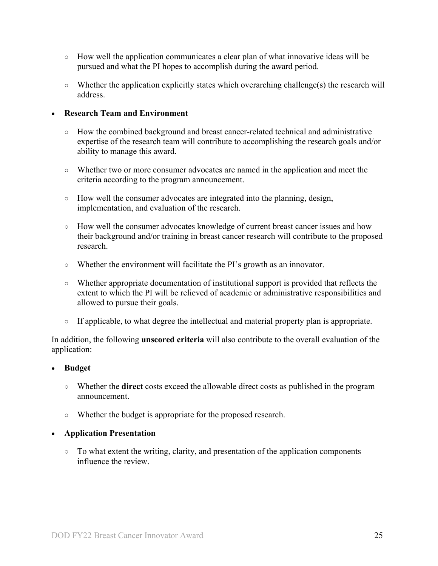- How well the application communicates a clear plan of what innovative ideas will be pursued and what the PI hopes to accomplish during the award period.
- Whether the application explicitly states which overarching challenge(s) the research will address.

### • **Research Team and Environment**

- How the combined background and breast cancer-related technical and administrative expertise of the research team will contribute to accomplishing the research goals and/or ability to manage this award.
- Whether two or more consumer advocates are named in the application and meet the criteria according to the program announcement.
- How well the consumer advocates are integrated into the planning, design, implementation, and evaluation of the research.
- How well the consumer advocates knowledge of current breast cancer issues and how their background and/or training in breast cancer research will contribute to the proposed research.
- Whether the environment will facilitate the PI's growth as an innovator.
- Whether appropriate documentation of institutional support is provided that reflects the extent to which the PI will be relieved of academic or administrative responsibilities and allowed to pursue their goals.
- If applicable, to what degree the intellectual and material property plan is appropriate.

In addition, the following **unscored criteria** will also contribute to the overall evaluation of the application:

#### • **Budget**

- Whether the **direct** costs exceed the allowable direct costs as published in the program announcement.
- Whether the budget is appropriate for the proposed research.

## • **Application Presentation**

○ To what extent the writing, clarity, and presentation of the application components influence the review.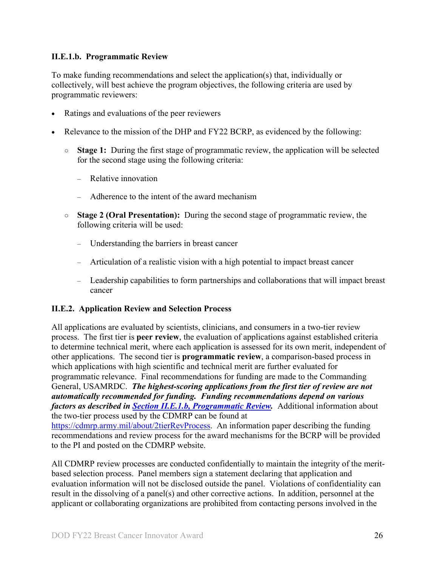## <span id="page-25-1"></span>**II.E.1.b. Programmatic Review**

To make funding recommendations and select the application(s) that, individually or collectively, will best achieve the program objectives, the following criteria are used by programmatic reviewers:

- Ratings and evaluations of the peer reviewers
- Relevance to the mission of the DHP and FY22 BCRP, as evidenced by the following:
	- **Stage 1:** During the first stage of programmatic review, the application will be selected for the second stage using the following criteria:
		- Relative innovation
		- Adherence to the intent of the award mechanism
	- **Stage 2 (Oral Presentation):** During the second stage of programmatic review, the following criteria will be used:
		- Understanding the barriers in breast cancer
		- Articulation of a realistic vision with a high potential to impact breast cancer
		- Leadership capabilities to form partnerships and collaborations that will impact breast cancer

## <span id="page-25-0"></span>**II.E.2. Application Review and Selection Process**

All applications are evaluated by scientists, clinicians, and consumers in a two-tier review process. The first tier is **peer review**, the evaluation of applications against established criteria to determine technical merit, where each application is assessed for its own merit, independent of other applications. The second tier is **programmatic review**, a comparison-based process in which applications with high scientific and technical merit are further evaluated for programmatic relevance. Final recommendations for funding are made to the Commanding General, USAMRDC. *The highest-scoring applications from the first tier of review are not automatically recommended for funding. Funding recommendations depend on various factors as described in Section [II.E.1.b, Programmatic Review.](#page-25-1)* Additional information about the two-tier process used by the CDMRP can be found at [https://cdmrp.army.mil/about/2tierRevProcess.](http://cdmrp.army.mil/about/2tierRevProcess) An information paper describing the funding recommendations and review process for the award mechanisms for the BCRP will be provided to the PI and posted on the CDMRP website.

All CDMRP review processes are conducted confidentially to maintain the integrity of the meritbased selection process. Panel members sign a statement declaring that application and evaluation information will not be disclosed outside the panel. Violations of confidentiality can result in the dissolving of a panel(s) and other corrective actions. In addition, personnel at the applicant or collaborating organizations are prohibited from contacting persons involved in the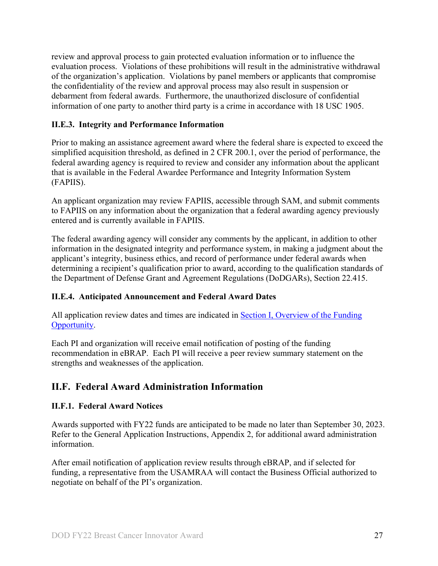review and approval process to gain protected evaluation information or to influence the evaluation process. Violations of these prohibitions will result in the administrative withdrawal of the organization's application. Violations by panel members or applicants that compromise the confidentiality of the review and approval process may also result in suspension or debarment from federal awards. Furthermore, the unauthorized disclosure of confidential information of one party to another third party is a crime in accordance with 18 USC 1905.

## <span id="page-26-0"></span>**II.E.3. Integrity and Performance Information**

Prior to making an assistance agreement award where the federal share is expected to exceed the simplified acquisition threshold, as defined in 2 CFR 200.1, over the period of performance, the federal awarding agency is required to review and consider any information about the applicant that is available in the Federal Awardee Performance and Integrity Information System (FAPIIS).

An applicant organization may review FAPIIS, accessible through SAM, and submit comments to FAPIIS on any information about the organization that a federal awarding agency previously entered and is currently available in FAPIIS.

The federal awarding agency will consider any comments by the applicant, in addition to other information in the designated integrity and performance system, in making a judgment about the applicant's integrity, business ethics, and record of performance under federal awards when determining a recipient's qualification prior to award, according to the qualification standards of the Department of Defense Grant and Agreement Regulations (DoDGARs), Section 22.415.

## <span id="page-26-1"></span>**II.E.4. Anticipated Announcement and Federal Award Dates**

All application review dates and times are indicated in [Section I, Overview of the Funding](#page-0-1)  [Opportunity.](#page-0-1)

Each PI and organization will receive email notification of posting of the funding recommendation in eBRAP. Each PI will receive a peer review summary statement on the strengths and weaknesses of the application.

## <span id="page-26-2"></span>**II.F. Federal Award Administration Information**

## <span id="page-26-3"></span>**II.F.1. Federal Award Notices**

Awards supported with FY22 funds are anticipated to be made no later than September 30, 2023. Refer to the General Application Instructions, Appendix 2, for additional award administration information.

After email notification of application review results through eBRAP, and if selected for funding, a representative from the USAMRAA will contact the Business Official authorized to negotiate on behalf of the PI's organization.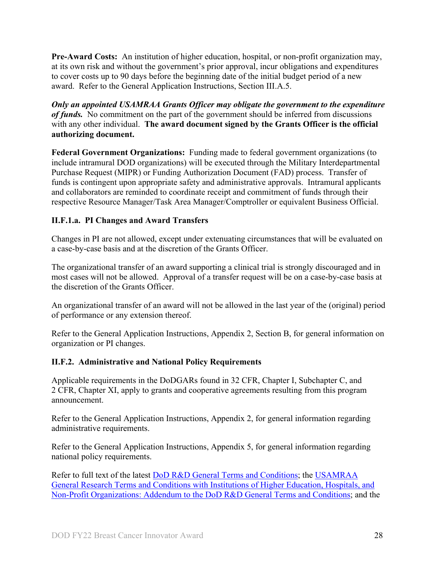**Pre-Award Costs:** An institution of higher education, hospital, or non-profit organization may, at its own risk and without the government's prior approval, incur obligations and expenditures to cover costs up to 90 days before the beginning date of the initial budget period of a new award. Refer to the General Application Instructions, Section III.A.5.

*Only an appointed USAMRAA Grants Officer may obligate the government to the expenditure of funds.* No commitment on the part of the government should be inferred from discussions with any other individual. **The award document signed by the Grants Officer is the official authorizing document.**

Federal Government Organizations: Funding made to federal government organizations (to include intramural DOD organizations) will be executed through the Military Interdepartmental Purchase Request (MIPR) or Funding Authorization Document (FAD) process. Transfer of funds is contingent upon appropriate safety and administrative approvals. Intramural applicants and collaborators are reminded to coordinate receipt and commitment of funds through their respective Resource Manager/Task Area Manager/Comptroller or equivalent Business Official.

## **II.F.1.a. PI Changes and Award Transfers**

Changes in PI are not allowed, except under extenuating circumstances that will be evaluated on a case-by-case basis and at the discretion of the Grants Officer.

The organizational transfer of an award supporting a clinical trial is strongly discouraged and in most cases will not be allowed. Approval of a transfer request will be on a case-by-case basis at the discretion of the Grants Officer.

An organizational transfer of an award will not be allowed in the last year of the (original) period of performance or any extension thereof.

Refer to the General Application Instructions, Appendix 2, Section B, for general information on organization or PI changes.

## <span id="page-27-0"></span>**II.F.2. Administrative and National Policy Requirements**

Applicable requirements in the DoDGARs found in 32 CFR, Chapter I, Subchapter C, and 2 CFR, Chapter XI, apply to grants and cooperative agreements resulting from this program announcement.

Refer to the General Application Instructions, Appendix 2, for general information regarding administrative requirements.

Refer to the General Application Instructions, Appendix 5, for general information regarding national policy requirements.

Refer to full text of the latest **DoD R&D General Terms and Conditions**; the USAMRAA [General Research Terms and Conditions with Institutions of Higher Education, Hospitals, and](https://www.usamraa.army.mil/Pages/Resources.aspx)  [Non-Profit Organizations: Addendum to the DoD](https://www.usamraa.army.mil/Pages/Resources.aspx) R&D General Terms and Conditions; and the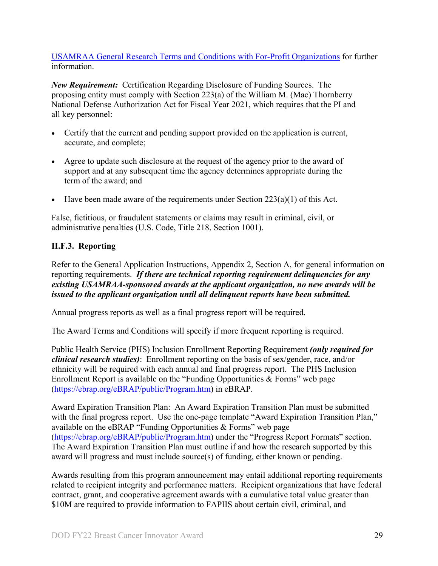[USAMRAA General Research Terms and Conditions with For-Profit Organizations](https://www.usamraa.army.mil/Pages/Resources.aspx) for further information.

*New Requirement:* Certification Regarding Disclosure of Funding Sources. The proposing entity must comply with Section 223(a) of the William M. (Mac) Thornberry National Defense Authorization Act for Fiscal Year 2021, which requires that the PI and all key personnel:

- Certify that the current and pending support provided on the application is current, accurate, and complete;
- Agree to update such disclosure at the request of the agency prior to the award of support and at any subsequent time the agency determines appropriate during the term of the award; and
- Have been made aware of the requirements under Section  $223(a)(1)$  of this Act.

False, fictitious, or fraudulent statements or claims may result in criminal, civil, or administrative penalties (U.S. Code, Title 218, Section 1001).

## <span id="page-28-0"></span>**II.F.3. Reporting**

Refer to the General Application Instructions, Appendix 2, Section A, for general information on reporting requirements. *If there are technical reporting requirement delinquencies for any existing USAMRAA-sponsored awards at the applicant organization, no new awards will be issued to the applicant organization until all delinquent reports have been submitted.*

Annual progress reports as well as a final progress report will be required.

The Award Terms and Conditions will specify if more frequent reporting is required.

Public Health Service (PHS) Inclusion Enrollment Reporting Requirement *(only required for clinical research studies)*: Enrollment reporting on the basis of sex/gender, race, and/or ethnicity will be required with each annual and final progress report. The PHS Inclusion Enrollment Report is available on the "Funding Opportunities & Forms" web page [\(https://ebrap.org/eBRAP/public/Program.htm\)](https://ebrap.org/eBRAP/public/Program.htm) in eBRAP.

Award Expiration Transition Plan: An Award Expiration Transition Plan must be submitted with the final progress report. Use the one-page template "Award Expiration Transition Plan," available on the eBRAP "Funding Opportunities & Forms" web page [\(https://ebrap.org/eBRAP/public/Program.htm\)](https://ebrap.org/eBRAP/public/Program.htm) under the "Progress Report Formats" section. The Award Expiration Transition Plan must outline if and how the research supported by this award will progress and must include source(s) of funding, either known or pending.

Awards resulting from this program announcement may entail additional reporting requirements related to recipient integrity and performance matters. Recipient organizations that have federal contract, grant, and cooperative agreement awards with a cumulative total value greater than \$10M are required to provide information to FAPIIS about certain civil, criminal, and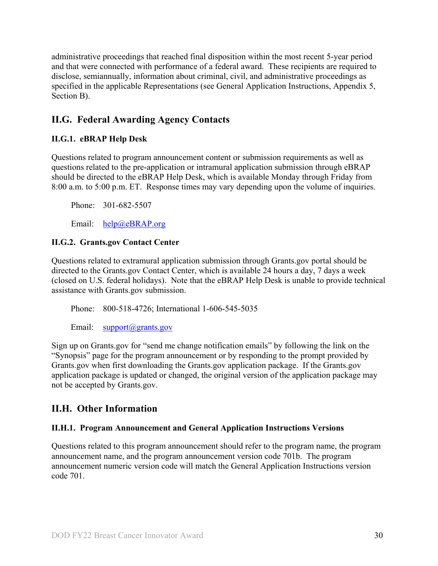administrative proceedings that reached final disposition within the most recent 5-year period and that were connected with performance of a federal award. These recipients are required to disclose, semiannually, information about criminal, civil, and administrative proceedings as specified in the applicable Representations (see General Application Instructions, Appendix 5, Section B).

# <span id="page-29-0"></span>**II.G. Federal Awarding Agency Contacts**

## <span id="page-29-1"></span>**II.G.1. eBRAP Help Desk**

Questions related to program announcement content or submission requirements as well as questions related to the pre-application or intramural application submission through eBRAP should be directed to the eBRAP Help Desk, which is available Monday through Friday from 8:00 a.m. to 5:00 p.m. ET. Response times may vary depending upon the volume of inquiries.

Phone: 301-682-5507

Email: [help@eBRAP.org](mailto:help@eBRAP.org)

## <span id="page-29-2"></span>**II.G.2. Grants.gov Contact Center**

Questions related to extramural application submission through Grants.gov portal should be directed to the Grants.gov Contact Center, which is available 24 hours a day, 7 days a week (closed on U.S. federal holidays). Note that the eBRAP Help Desk is unable to provide technical assistance with Grants.gov submission.

Phone: 800-518-4726; International 1-606-545-5035

Email:  $support(\widehat{a})$ *grants.gov* 

Sign up on Grants.gov for "send me change notification emails" by following the link on the "Synopsis" page for the program announcement or by responding to the prompt provided by Grants.gov when first downloading the Grants.gov application package. If the Grants.gov application package is updated or changed, the original version of the application package may not be accepted by Grants.gov.

## <span id="page-29-3"></span>**II.H. Other Information**

## <span id="page-29-4"></span>**II.H.1. Program Announcement and General Application Instructions Versions**

Questions related to this program announcement should refer to the program name, the program announcement name, and the program announcement version code 701b. The program announcement numeric version code will match the General Application Instructions version code 701.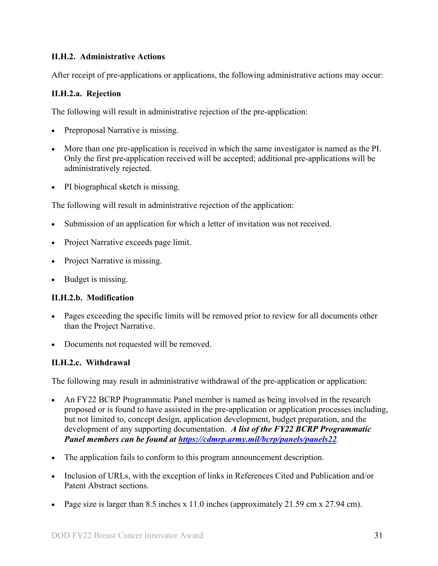## <span id="page-30-0"></span>**II.H.2. Administrative Actions**

After receipt of pre-applications or applications, the following administrative actions may occur:

## **II.H.2.a. Rejection**

The following will result in administrative rejection of the pre-application:

- Preproposal Narrative is missing.
- More than one pre-application is received in which the same investigator is named as the PI. Only the first pre-application received will be accepted; additional pre-applications will be administratively rejected.
- PI biographical sketch is missing.

The following will result in administrative rejection of the application:

- Submission of an application for which a letter of invitation was not received.
- Project Narrative exceeds page limit.
- Project Narrative is missing.
- Budget is missing.

#### **II.H.2.b. Modification**

- Pages exceeding the specific limits will be removed prior to review for all documents other than the Project Narrative.
- Documents not requested will be removed.

#### <span id="page-30-1"></span>**II.H.2.c. Withdrawal**

The following may result in administrative withdrawal of the pre-application or application:

- An FY22 BCRP Programmatic Panel member is named as being involved in the research proposed or is found to have assisted in the pre-application or application processes including, but not limited to, concept design, application development, budget preparation, and the development of any supporting documentation. *A list of the FY22 BCRP Programmatic Panel members can be found at<https://cdmrp.army.mil/bcrp/panels/panels22>.*
- The application fails to conform to this program announcement description.
- Inclusion of URLs, with the exception of links in References Cited and Publication and/or Patent Abstract sections.
- Page size is larger than 8.5 inches x 11.0 inches (approximately 21.59 cm x 27.94 cm).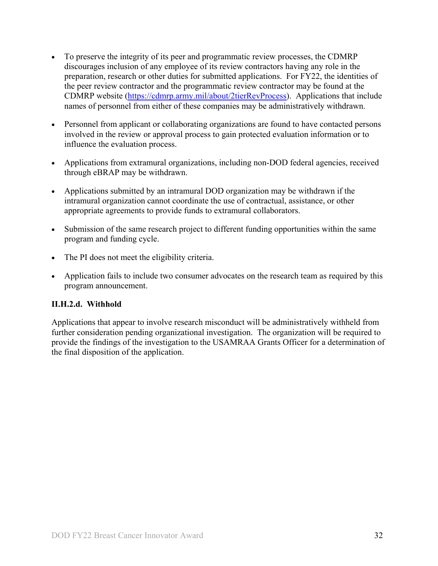- To preserve the integrity of its peer and programmatic review processes, the CDMRP discourages inclusion of any employee of its review contractors having any role in the preparation, research or other duties for submitted applications. For FY22, the identities of the peer review contractor and the programmatic review contractor may be found at the CDMRP website [\(https://cdmrp.army.mil/about/2tierRevProcess\)](https://cdmrp.army.mil/about/2tierRevProcess). Applications that include names of personnel from either of these companies may be administratively withdrawn.
- Personnel from applicant or collaborating organizations are found to have contacted persons involved in the review or approval process to gain protected evaluation information or to influence the evaluation process.
- Applications from extramural organizations, including non-DOD federal agencies, received through eBRAP may be withdrawn.
- Applications submitted by an intramural DOD organization may be withdrawn if the intramural organization cannot coordinate the use of contractual, assistance, or other appropriate agreements to provide funds to extramural collaborators.
- Submission of the same research project to different funding opportunities within the same program and funding cycle.
- The PI does not meet the eligibility criteria.
- Application fails to include two consumer advocates on the research team as required by this program announcement.

## **II.H.2.d. Withhold**

Applications that appear to involve research misconduct will be administratively withheld from further consideration pending organizational investigation. The organization will be required to provide the findings of the investigation to the USAMRAA Grants Officer for a determination of the final disposition of the application.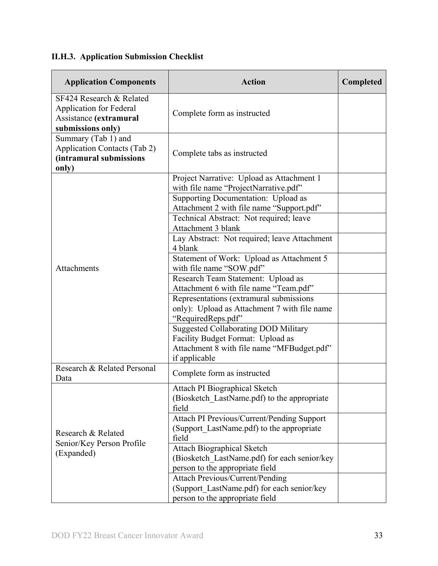# <span id="page-32-0"></span>**II.H.3. Application Submission Checklist**

| <b>Application Components</b>                                                                             | <b>Action</b>                                                                                                                                   | Completed |
|-----------------------------------------------------------------------------------------------------------|-------------------------------------------------------------------------------------------------------------------------------------------------|-----------|
| SF424 Research & Related<br><b>Application for Federal</b><br>Assistance (extramural<br>submissions only) | Complete form as instructed                                                                                                                     |           |
| Summary (Tab 1) and<br><b>Application Contacts (Tab 2)</b><br>(intramural submissions<br>only)            | Complete tabs as instructed                                                                                                                     |           |
| Attachments                                                                                               | Project Narrative: Upload as Attachment 1<br>with file name "ProjectNarrative.pdf"                                                              |           |
|                                                                                                           | Supporting Documentation: Upload as<br>Attachment 2 with file name "Support.pdf"                                                                |           |
|                                                                                                           | Technical Abstract: Not required; leave<br>Attachment 3 blank                                                                                   |           |
|                                                                                                           | Lay Abstract: Not required; leave Attachment<br>4 blank                                                                                         |           |
|                                                                                                           | Statement of Work: Upload as Attachment 5<br>with file name "SOW.pdf"                                                                           |           |
|                                                                                                           | Research Team Statement: Upload as<br>Attachment 6 with file name "Team.pdf"                                                                    |           |
|                                                                                                           | Representations (extramural submissions<br>only): Upload as Attachment 7 with file name<br>"RequiredReps.pdf"                                   |           |
|                                                                                                           | <b>Suggested Collaborating DOD Military</b><br>Facility Budget Format: Upload as<br>Attachment 8 with file name "MFBudget.pdf"<br>if applicable |           |
| Research & Related Personal<br>Data                                                                       | Complete form as instructed                                                                                                                     |           |
| Research & Related<br>Senior/Key Person Profile<br>(Expanded)                                             | Attach PI Biographical Sketch<br>(Biosketch LastName.pdf) to the appropriate<br>field                                                           |           |
|                                                                                                           | Attach PI Previous/Current/Pending Support<br>(Support LastName.pdf) to the appropriate<br>field                                                |           |
|                                                                                                           | <b>Attach Biographical Sketch</b><br>(Biosketch LastName.pdf) for each senior/key<br>person to the appropriate field                            |           |
|                                                                                                           | Attach Previous/Current/Pending<br>(Support LastName.pdf) for each senior/key<br>person to the appropriate field                                |           |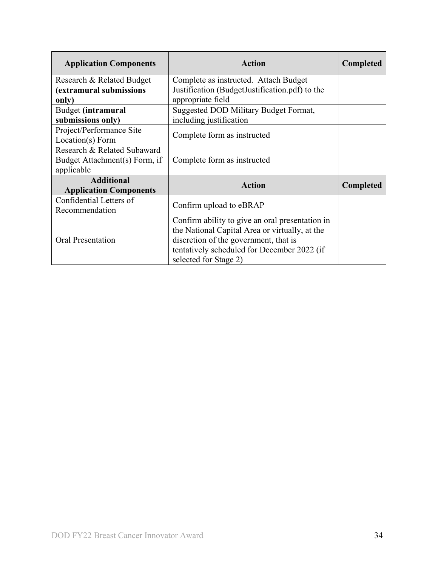| <b>Application Components</b> | Action                                          | Completed        |
|-------------------------------|-------------------------------------------------|------------------|
| Research & Related Budget     | Complete as instructed. Attach Budget           |                  |
| (extramural submissions       | Justification (BudgetJustification.pdf) to the  |                  |
| only)                         | appropriate field                               |                  |
| Budget (intramural            | Suggested DOD Military Budget Format,           |                  |
| submissions only)             | including justification                         |                  |
| Project/Performance Site      | Complete form as instructed                     |                  |
| Location(s) Form              |                                                 |                  |
| Research & Related Subaward   | Complete form as instructed                     |                  |
| Budget Attachment(s) Form, if |                                                 |                  |
| applicable                    |                                                 |                  |
| <b>Additional</b>             | <b>Action</b>                                   | <b>Completed</b> |
| <b>Application Components</b> |                                                 |                  |
| Confidential Letters of       | Confirm upload to eBRAP                         |                  |
| Recommendation                |                                                 |                  |
|                               | Confirm ability to give an oral presentation in |                  |
|                               | the National Capital Area or virtually, at the  |                  |
| <b>Oral Presentation</b>      | discretion of the government, that is           |                  |
|                               | tentatively scheduled for December 2022 (if     |                  |
|                               | selected for Stage 2)                           |                  |